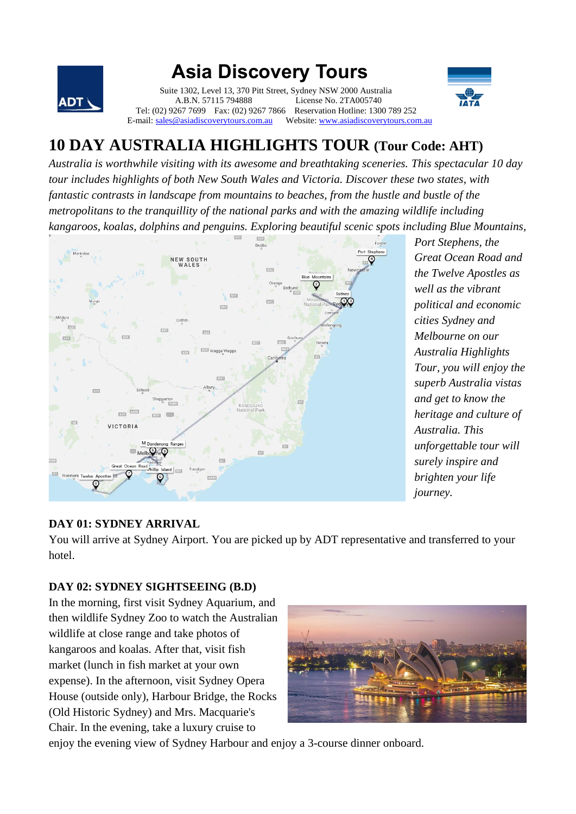

# **Asia Discovery Tours**

 Suite 1302, Level 13, 370 Pitt Street, Sydney NSW 2000 Australia A.B.N. 57115 794888 License No. 2TA005740 Tel: (02) 9267 7699 Fax: (02) 9267 7866 Reservation Hotline: 1300 789 252<br>E-mail: sales@asiadiscoverytours.com.au Website: www.asiadiscoverytours.com Website[: www.asiadiscoverytours.com.au](http://www.asiadiscoverytours.com.au/)



## **10 DAY AUSTRALIA HIGHLIGHTS TOUR (Tour Code: AHT)**

*Australia is worthwhile visiting with its awesome and breathtaking sceneries. This spectacular 10 day tour includes highlights of both New South Wales and Victoria. Discover these two states, with fantastic contrasts in landscape from mountains to beaches, from the hustle and bustle of the metropolitans to the tranquillity of the national parks and with the amazing wildlife including kangaroos, koalas, dolphins and penguins. Exploring beautiful scenic spots including Blue Mountains,* 



*Port Stephens, the Great Ocean Road and the Twelve Apostles as well as the vibrant political and economic cities Sydney and Melbourne on our Australia Highlights Tour, you will enjoy the superb Australia vistas and get to know the heritage and culture of Australia. This unforgettable tour will surely inspire and brighten your life journey.* 

#### **DAY 01: SYDNEY ARRIVAL**

You will arrive at Sydney Airport. You are picked up by ADT representative and transferred to your hotel.

#### **DAY 02: SYDNEY SIGHTSEEING (B.D)**

In the morning, first visit Sydney Aquarium, and then wildlife Sydney Zoo to watch the Australian wildlife at close range and take photos of kangaroos and koalas. After that, visit fish market (lunch in fish market at your own expense). In the afternoon, visit Sydney Opera House (outside only), Harbour Bridge, the Rocks (Old Historic Sydney) and Mrs. Macquarie's Chair. In the evening, take a luxury cruise to



enjoy the evening view of Sydney Harbour and enjoy a 3-course dinner onboard.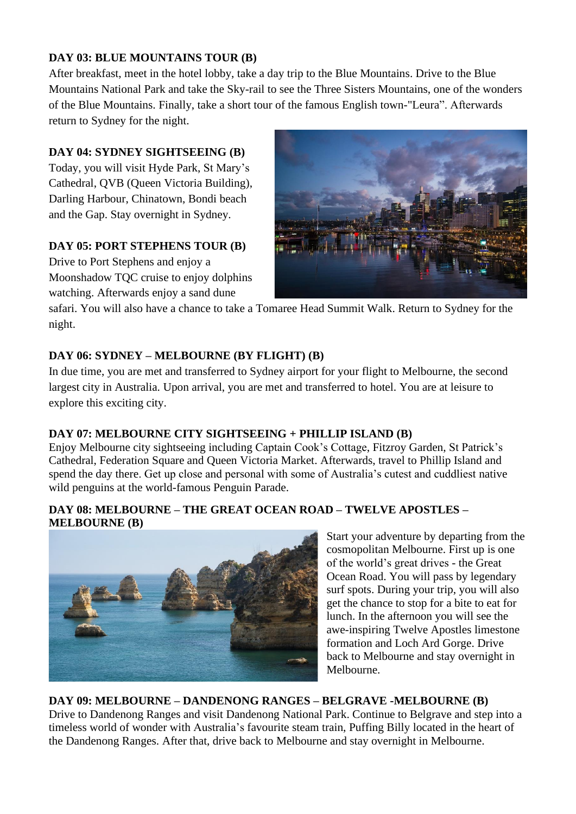#### **DAY 03: BLUE MOUNTAINS TOUR (B)**

After breakfast, meet in the hotel lobby, take a day trip to the Blue Mountains. Drive to the Blue Mountains National Park and take the Sky-rail to see the Three Sisters Mountains, one of the wonders of the Blue Mountains. Finally, take a short tour of the famous English town-"Leura". Afterwards return to Sydney for the night.

#### **DAY 04: SYDNEY SIGHTSEEING (B)**

Today, you will visit Hyde Park, St Mary's Cathedral, QVB (Queen Victoria Building), Darling Harbour, Chinatown, Bondi beach and the Gap. Stay overnight in Sydney.

#### **DAY 05: PORT STEPHENS TOUR (B)**

Drive to Port Stephens and enjoy a Moonshadow TQC cruise to enjoy dolphins watching. Afterwards enjoy a sand dune



safari. You will also have a chance to take a Tomaree Head Summit Walk. Return to Sydney for the night.

#### **DAY 06: SYDNEY – MELBOURNE (BY FLIGHT) (B)**

In due time, you are met and transferred to Sydney airport for your flight to Melbourne, the second largest city in Australia. Upon arrival, you are met and transferred to hotel. You are at leisure to explore this exciting city.

#### **DAY 07: MELBOURNE CITY SIGHTSEEING + PHILLIP ISLAND (B)**

Enjoy Melbourne city sightseeing including Captain Cook's Cottage, Fitzroy Garden, St Patrick's Cathedral, Federation Square and Queen Victoria Market. Afterwards, travel to Phillip Island and spend the day there. Get up close and personal with some of Australia's cutest and cuddliest native wild penguins at the world-famous Penguin Parade.

#### **DAY 08: MELBOURNE – THE GREAT OCEAN ROAD – TWELVE APOSTLES – MELBOURNE (B)**



Start your adventure by departing from the cosmopolitan Melbourne. First up is one of the world's great drives - the Great Ocean Road. You will pass by legendary surf spots. During your trip, you will also get the chance to stop for a bite to eat for lunch. In the afternoon you will see the awe-inspiring Twelve Apostles limestone formation and Loch Ard Gorge. Drive back to Melbourne and stay overnight in Melbourne.

#### **DAY 09: MELBOURNE – DANDENONG RANGES – BELGRAVE -MELBOURNE (B)**

Drive to Dandenong Ranges and visit Dandenong National Park. Continue to Belgrave and step into a timeless world of wonder with Australia's favourite steam train, Puffing Billy located in the heart of the Dandenong Ranges. After that, drive back to Melbourne and stay overnight in Melbourne.